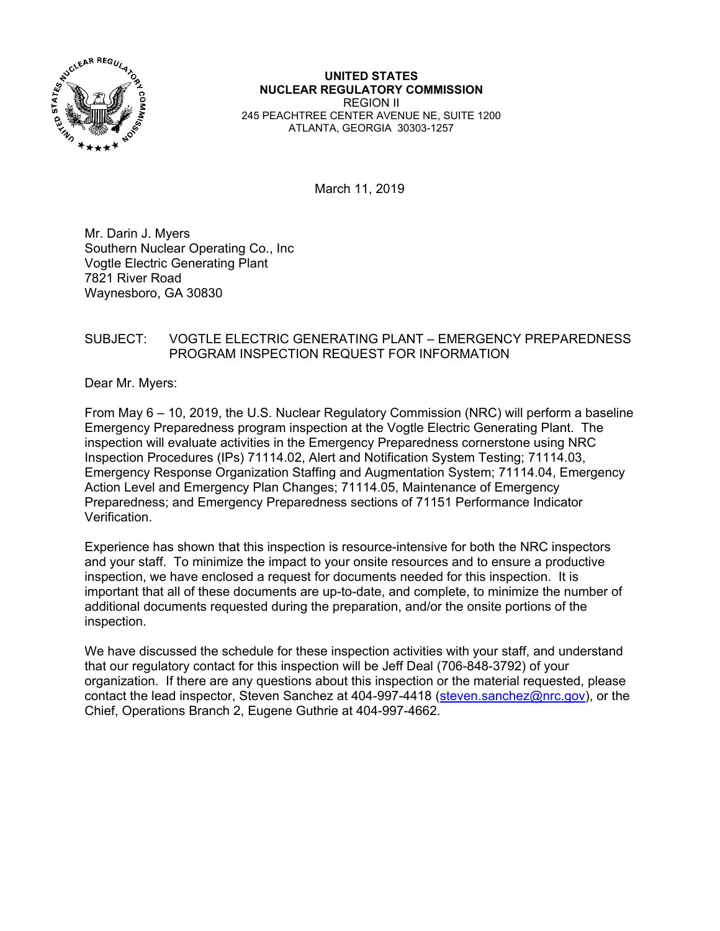

#### **UNITED STATES NUCLEAR REGULATORY COMMISSION**  REGION II 245 PEACHTREE CENTER AVENUE NE, SUITE 1200 ATLANTA, GEORGIA 30303-1257

March 11, 2019

Mr. Darin J. Myers Southern Nuclear Operating Co., Inc Vogtle Electric Generating Plant 7821 River Road Waynesboro, GA 30830

### SUBJECT: VOGTLE ELECTRIC GENERATING PLANT – EMERGENCY PREPAREDNESS PROGRAM INSPECTION REQUEST FOR INFORMATION

Dear Mr. Myers:

From May 6 – 10, 2019, the U.S. Nuclear Regulatory Commission (NRC) will perform a baseline Emergency Preparedness program inspection at the Vogtle Electric Generating Plant. The inspection will evaluate activities in the Emergency Preparedness cornerstone using NRC Inspection Procedures (IPs) 71114.02, Alert and Notification System Testing; 71114.03, Emergency Response Organization Staffing and Augmentation System; 71114.04, Emergency Action Level and Emergency Plan Changes; 71114.05, Maintenance of Emergency Preparedness; and Emergency Preparedness sections of 71151 Performance Indicator Verification.

Experience has shown that this inspection is resource-intensive for both the NRC inspectors and your staff. To minimize the impact to your onsite resources and to ensure a productive inspection, we have enclosed a request for documents needed for this inspection. It is important that all of these documents are up-to-date, and complete, to minimize the number of additional documents requested during the preparation, and/or the onsite portions of the inspection.

We have discussed the schedule for these inspection activities with your staff, and understand that our regulatory contact for this inspection will be Jeff Deal (706-848-3792) of your organization. If there are any questions about this inspection or the material requested, please contact the lead inspector, Steven Sanchez at 404-997-4418 (steven.sanchez@nrc.gov), or the Chief, Operations Branch 2, Eugene Guthrie at 404-997-4662.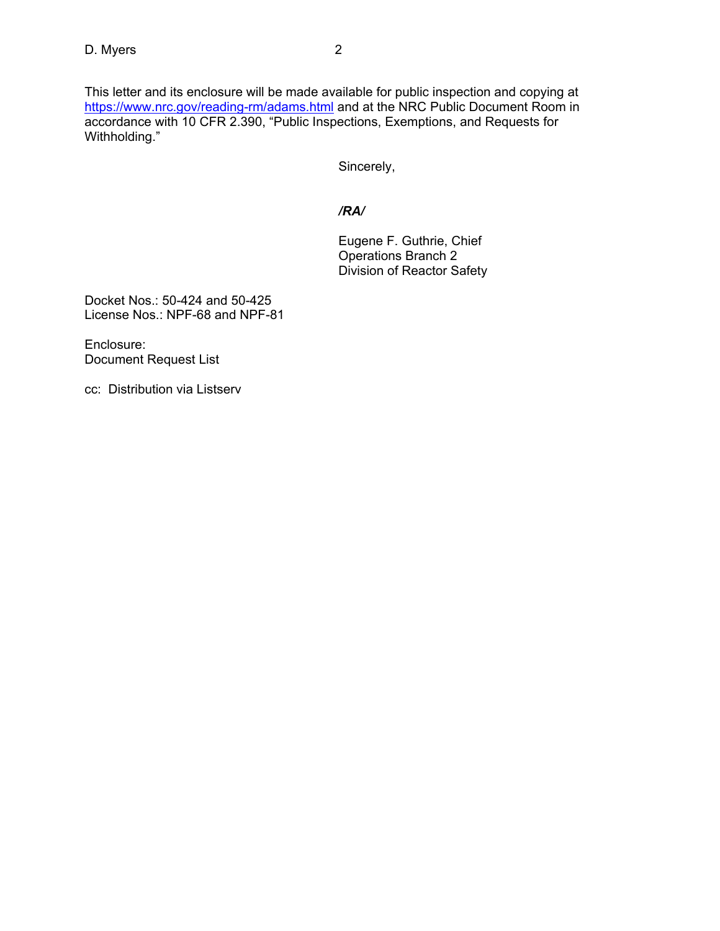This letter and its enclosure will be made available for public inspection and copying at https://www.nrc.gov/reading-rm/adams.html and at the NRC Public Document Room in accordance with 10 CFR 2.390, "Public Inspections, Exemptions, and Requests for Withholding."

Sincerely,

# */RA/*

 Eugene F. Guthrie, Chief Operations Branch 2 Division of Reactor Safety

Docket Nos.: 50-424 and 50-425 License Nos.: NPF-68 and NPF-81

Enclosure: Document Request List

cc: Distribution via Listserv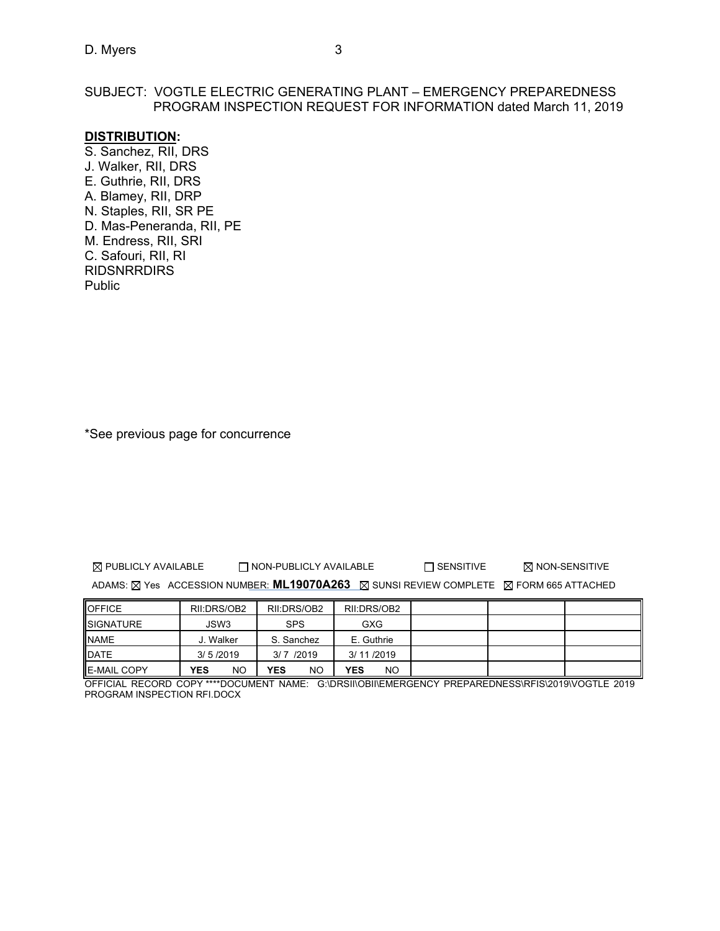### SUBJECT: VOGTLE ELECTRIC GENERATING PLANT – EMERGENCY PREPAREDNESS PROGRAM INSPECTION REQUEST FOR INFORMATION dated March 11, 2019

### **DISTRIBUTION:**

S. Sanchez, RII, DRS J. Walker, RII, DRS E. Guthrie, RII, DRS A. Blamey, RII, DRP N. Staples, RII, SR PE D. Mas-Peneranda, RII, PE M. Endress, RII, SRI C. Safouri, RII, RI **RIDSNRRDIRS** Public

\*See previous page for concurrence

 $\boxtimes$  PUBLICLY AVAILABLE  $\Box$  NON-PUBLICLY AVAILABLE  $\Box$  SENSITIVE  $\boxtimes$  NON-SENSITIVE

ADAMS:  $\boxtimes$  Yes ACCESSION NUMBER: **ML19070A263**  $\boxtimes$  SUNSI REVIEW COMPLETE  $\boxtimes$  FORM 665 ATTACHED

| <b>OFFICE</b>      | RII:DRS/OB2      | RII:DRS/OB2 | RII:DRS/OB2      |  |  |
|--------------------|------------------|-------------|------------------|--|--|
| <b>SIGNATURE</b>   | JSW3             | <b>SPS</b>  | GXG              |  |  |
| <b>NAME</b>        | J. Walker        | S. Sanchez  | E. Guthrie       |  |  |
| <b>DATE</b>        | 3/5/2019         | $3/7$ /2019 | 3/11/2019        |  |  |
| <b>E-MAIL COPY</b> | NO<br><b>YES</b> | YES<br>NO   | <b>YES</b><br>NO |  |  |

OFFICIAL RECORD COPY \*\*\*\*DOCUMENT NAME: G:\DRSII\OBII\EMERGENCY PREPAREDNESS\RFIS\2019\VOGTLE 2019 PROGRAM INSPECTION RFI.DOCX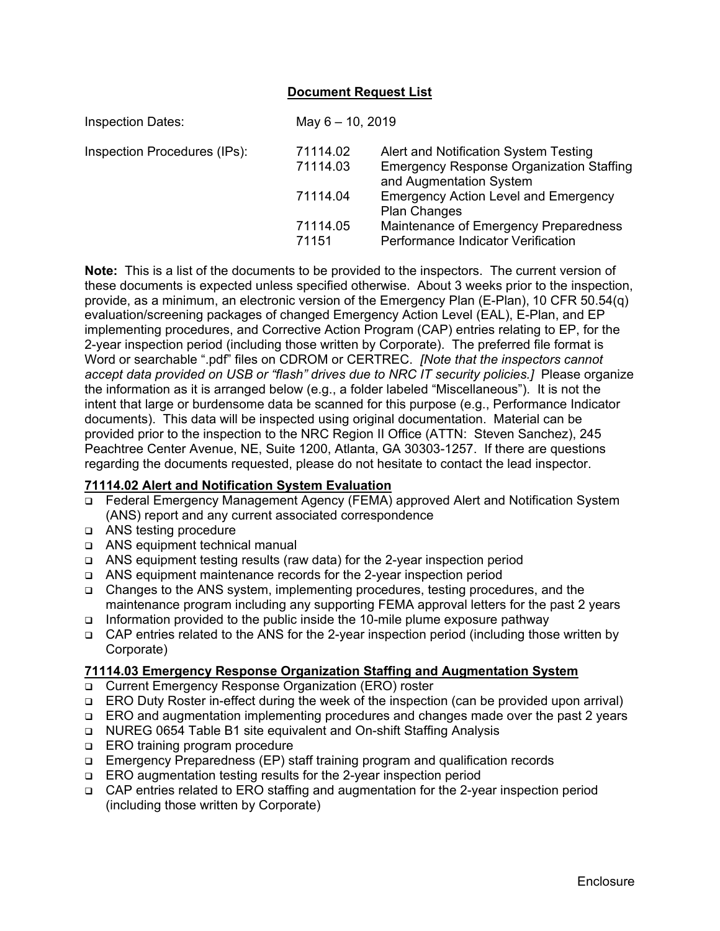### **Document Request List**

| <b>Inspection Dates:</b>     |                      | May $6 - 10$ , 2019                                                                                                 |  |  |
|------------------------------|----------------------|---------------------------------------------------------------------------------------------------------------------|--|--|
| Inspection Procedures (IPs): | 71114.02<br>71114.03 | Alert and Notification System Testing<br><b>Emergency Response Organization Staffing</b><br>and Augmentation System |  |  |
|                              | 71114.04             | <b>Emergency Action Level and Emergency</b><br><b>Plan Changes</b>                                                  |  |  |
|                              | 71114.05<br>71151    | Maintenance of Emergency Preparedness<br>Performance Indicator Verification                                         |  |  |

**Note:** This is a list of the documents to be provided to the inspectors. The current version of these documents is expected unless specified otherwise. About 3 weeks prior to the inspection, provide, as a minimum, an electronic version of the Emergency Plan (E-Plan), 10 CFR 50.54(q) evaluation/screening packages of changed Emergency Action Level (EAL), E-Plan, and EP implementing procedures, and Corrective Action Program (CAP) entries relating to EP, for the 2-year inspection period (including those written by Corporate). The preferred file format is Word or searchable ".pdf" files on CDROM or CERTREC. *[Note that the inspectors cannot accept data provided on USB or "flash" drives due to NRC IT security policies.]* Please organize the information as it is arranged below (e.g., a folder labeled "Miscellaneous"). It is not the intent that large or burdensome data be scanned for this purpose (e.g., Performance Indicator documents). This data will be inspected using original documentation. Material can be provided prior to the inspection to the NRC Region II Office (ATTN: Steven Sanchez), 245 Peachtree Center Avenue, NE, Suite 1200, Atlanta, GA 30303-1257. If there are questions regarding the documents requested, please do not hesitate to contact the lead inspector.

#### **71114.02 Alert and Notification System Evaluation**

- Federal Emergency Management Agency (FEMA) approved Alert and Notification System (ANS) report and any current associated correspondence
- □ ANS testing procedure
- ANS equipment technical manual
- ANS equipment testing results (raw data) for the 2-year inspection period
- ANS equipment maintenance records for the 2-year inspection period
- Changes to the ANS system, implementing procedures, testing procedures, and the maintenance program including any supporting FEMA approval letters for the past 2 years
- Information provided to the public inside the 10-mile plume exposure pathway
- $\Box$  CAP entries related to the ANS for the 2-year inspection period (including those written by Corporate)

### **71114.03 Emergency Response Organization Staffing and Augmentation System**

- Current Emergency Response Organization (ERO) roster
- ERO Duty Roster in-effect during the week of the inspection (can be provided upon arrival)
- ERO and augmentation implementing procedures and changes made over the past 2 years
- NUREG 0654 Table B1 site equivalent and On-shift Staffing Analysis
- **ERO** training program procedure
- Emergency Preparedness (EP) staff training program and qualification records
- □ ERO augmentation testing results for the 2-year inspection period
- CAP entries related to ERO staffing and augmentation for the 2-year inspection period (including those written by Corporate)